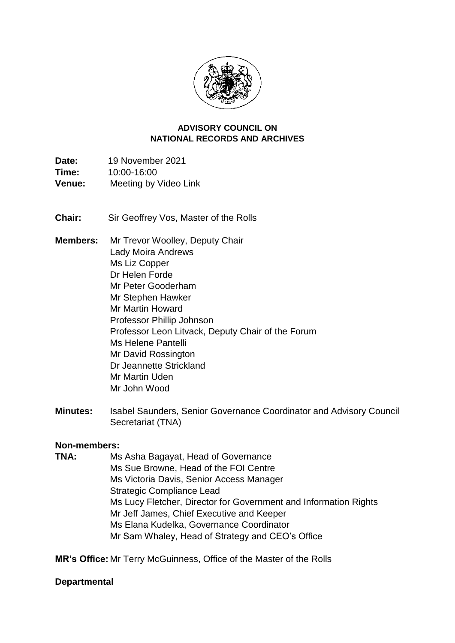

#### **NATIONAL RECORDS AND ARCHIVES ADVISORY COUNCIL ON**

Time: **Date:** 19 November 2021 **Time:** 10:00-16:00 **Venue:** Meeting by Video Link

**Chair:** Sir Geoffrey Vos, Master of the Rolls

- **Members:** Mr Trevor Woolley, Deputy Chair Lady Moira Andrews Ms Liz Copper Dr Helen Forde Mr Peter Gooderham Mr Stephen Hawker Mr Martin Howard Professor Phillip Johnson Professor Leon Litvack, Deputy Chair of the Forum Ms Helene Pantelli Mr David Rossington Dr Jeannette Strickland Mr Martin Uden Mr John Wood
- **Minutes:** Isabel Saunders, Senior Governance Coordinator and Advisory Council Secretariat (TNA)

### **Non-members:**

 Ms Elana Kudelka, Governance Coordinator **TNA:** Ms Asha Bagayat, Head of Governance Ms Sue Browne, Head of the FOI Centre Ms Victoria Davis, Senior Access Manager Strategic Compliance Lead Ms Lucy Fletcher, Director for Government and Information Rights Mr Jeff James, Chief Executive and Keeper Mr Sam Whaley, Head of Strategy and CEO's Office

**MR's Office:** Mr Terry McGuinness, Office of the Master of the Rolls

### **Departmental**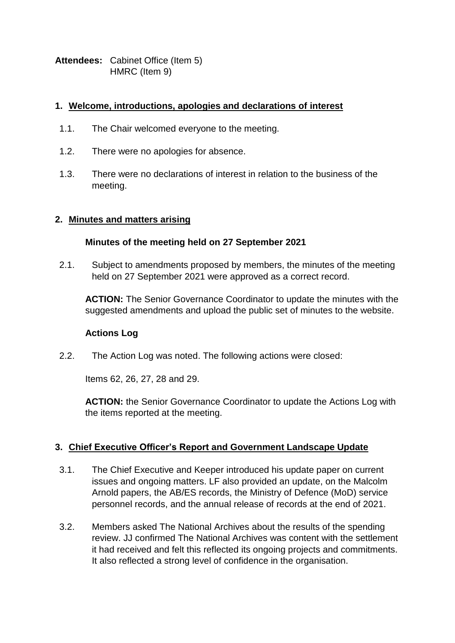**Attendees:** Cabinet Office (Item 5) HMRC (Item 9)

## **1. Welcome, introductions, apologies and declarations of interest**

- 1.1. The Chair welcomed everyone to the meeting.
- 1.2. There were no apologies for absence.
- 1.3. There were no declarations of interest in relation to the business of the meeting.

### **2. Minutes and matters arising**

## **Minutes of the meeting held on 27 September 2021**

2.1. Subject to amendments proposed by members, the minutes of the meeting held on 27 September 2021 were approved as a correct record.

**ACTION:** The Senior Governance Coordinator to update the minutes with the suggested amendments and upload the public set of minutes to the website.

### **Actions Log**

2.2. The Action Log was noted. The following actions were closed:

Items 62, 26, 27, 28 and 29.

 the items reported at the meeting. **ACTION:** the Senior Governance Coordinator to update the Actions Log with

## **3. Chief Executive Officer's Report and Government Landscape Update**

- personnel records, and the annual release of records at the end of 2021. 3.1. The Chief Executive and Keeper introduced his update paper on current issues and ongoing matters. LF also provided an update, on the Malcolm Arnold papers, the AB/ES records, the Ministry of Defence (MoD) service
- 3.2. Members asked The National Archives about the results of the spending review. JJ confirmed The National Archives was content with the settlement it had received and felt this reflected its ongoing projects and commitments. It also reflected a strong level of confidence in the organisation.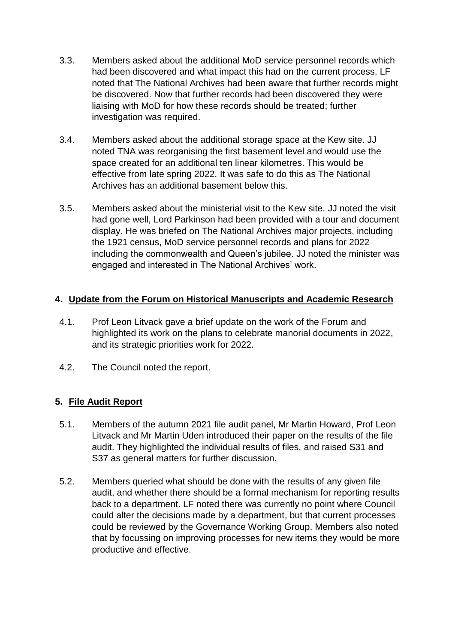- 3.3. Members asked about the additional MoD service personnel records which had been discovered and what impact this had on the current process. LF noted that The National Archives had been aware that further records might be discovered. Now that further records had been discovered they were liaising with MoD for how these records should be treated; further investigation was required.
- 3.4. Members asked about the additional storage space at the Kew site. JJ noted TNA was reorganising the first basement level and would use the space created for an additional ten linear kilometres. This would be effective from late spring 2022. It was safe to do this as The National Archives has an additional basement below this.
- including the commonwealth and Queen's jubilee. JJ noted the minister was 3.5. Members asked about the ministerial visit to the Kew site. JJ noted the visit had gone well, Lord Parkinson had been provided with a tour and document display. He was briefed on The National Archives major projects, including the 1921 census, MoD service personnel records and plans for 2022 engaged and interested in The National Archives' work.

## **4. Update from the Forum on Historical Manuscripts and Academic Research**

- highlighted its work on the plans to celebrate manorial documents in 2022, 4.1. Prof Leon Litvack gave a brief update on the work of the Forum and and its strategic priorities work for 2022.
- 4.2. The Council noted the report.

# **5. File Audit Report**

- Litvack and Mr Martin Uden introduced their paper on the results of the file 5.1. Members of the autumn 2021 file audit panel, Mr Martin Howard, Prof Leon audit. They highlighted the individual results of files, and raised S31 and S37 as general matters for further discussion.
- 5.2. Members queried what should be done with the results of any given file audit, and whether there should be a formal mechanism for reporting results back to a department. LF noted there was currently no point where Council could alter the decisions made by a department, but that current processes could be reviewed by the Governance Working Group. Members also noted that by focussing on improving processes for new items they would be more productive and effective.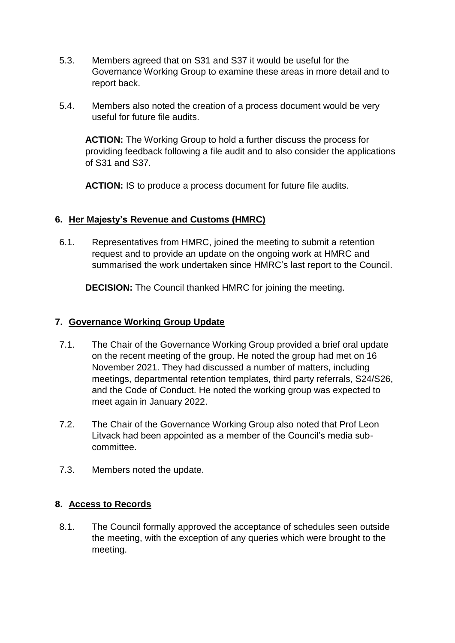- 5.3. Members agreed that on S31 and S37 it would be useful for the Governance Working Group to examine these areas in more detail and to report back.
- 5.4. Members also noted the creation of a process document would be very useful for future file audits.

 **ACTION:** The Working Group to hold a further discuss the process for providing feedback following a file audit and to also consider the applications of S31 and S37.

**ACTION:** IS to produce a process document for future file audits.

## **6. Her Majesty's Revenue and Customs (HMRC)**

 request and to provide an update on the ongoing work at HMRC and 6.1. Representatives from HMRC, joined the meeting to submit a retention summarised the work undertaken since HMRC's last report to the Council.

**DECISION:** The Council thanked HMRC for joining the meeting.

### **7. Governance Working Group Update**

- on the recent meeting of the group. He noted the group had met on 16 November 2021. They had discussed a number of matters, including and the Code of Conduct. He noted the working group was expected to 7.1. The Chair of the Governance Working Group provided a brief oral update meetings, departmental retention templates, third party referrals, S24/S26, meet again in January 2022.
- 7.2. The Chair of the Governance Working Group also noted that Prof Leon Litvack had been appointed as a member of the Council's media subcommittee.
- 7.3. Members noted the update.

## **8. Access to Records**

8.1. The Council formally approved the acceptance of schedules seen outside the meeting, with the exception of any queries which were brought to the meeting.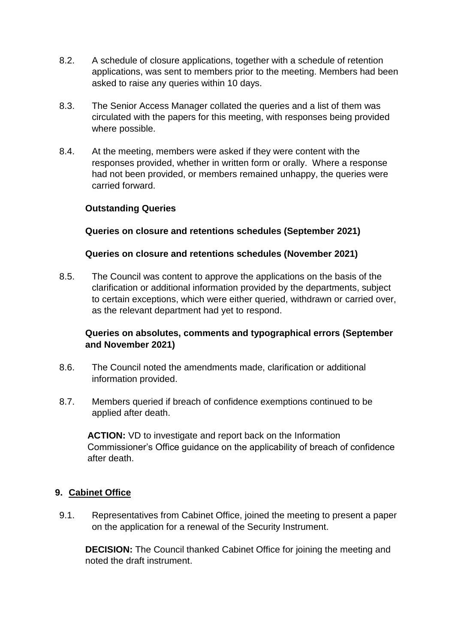- 8.2. A schedule of closure applications, together with a schedule of retention applications, was sent to members prior to the meeting. Members had been asked to raise any queries within 10 days.
- 8.3. The Senior Access Manager collated the queries and a list of them was circulated with the papers for this meeting, with responses being provided where possible.
- had not been provided, or members remained unhappy, the queries were 8.4. At the meeting, members were asked if they were content with the responses provided, whether in written form or orally. Where a response carried forward.

## **Outstanding Queries**

## **Queries on closure and retentions schedules (September 2021)**

### **Queries on closure and retentions schedules (November 2021)**

 8.5. The Council was content to approve the applications on the basis of the clarification or additional information provided by the departments, subject to certain exceptions, which were either queried, withdrawn or carried over, as the relevant department had yet to respond.

## **Queries on absolutes, comments and typographical errors (September and November 2021)**

- 8.6. The Council noted the amendments made, clarification or additional information provided.
- 8.7. Members queried if breach of confidence exemptions continued to be applied after death.

 Commissioner's Office guidance on the applicability of breach of confidence **ACTION:** VD to investigate and report back on the Information after death.

### **9. Cabinet Office**

 9.1. Representatives from Cabinet Office, joined the meeting to present a paper on the application for a renewal of the Security Instrument.

**DECISION:** The Council thanked Cabinet Office for joining the meeting and noted the draft instrument.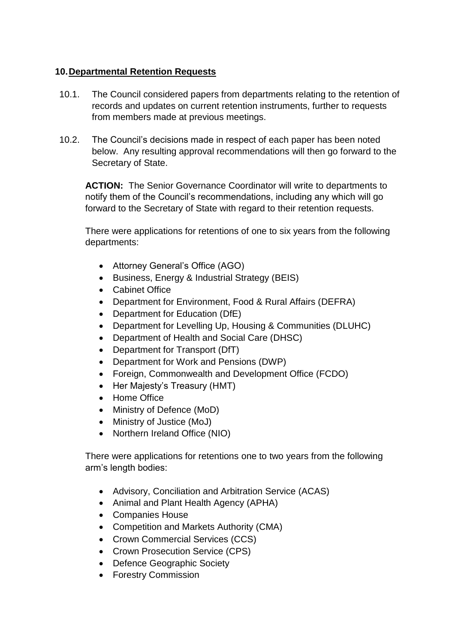## **10.Departmental Retention Requests**

- 10.1. The Council considered papers from departments relating to the retention of records and updates on current retention instruments, further to requests from members made at previous meetings.
- below. Any resulting approval recommendations will then go forward to the 10.2. The Council's decisions made in respect of each paper has been noted Secretary of State.

 **ACTION:** The Senior Governance Coordinator will write to departments to notify them of the Council's recommendations, including any which will go forward to the Secretary of State with regard to their retention requests.

 There were applications for retentions of one to six years from the following departments:

- Attorney General's Office (AGO)
- Business, Energy & Industrial Strategy (BEIS)
- Cabinet Office
- Department for Environment, Food & Rural Affairs (DEFRA)
- Department for Education (DfE)
- Department for Levelling Up, Housing & Communities (DLUHC)
- Department of Health and Social Care (DHSC)
- Department for Transport (DfT)
- Department for Work and Pensions (DWP)
- Foreign, Commonwealth and Development Office (FCDO)
- Her Majesty's Treasury (HMT)
- Home Office
- Ministry of Defence (MoD)
- Ministry of Justice (MoJ)
- Northern Ireland Office (NIO)

 There were applications for retentions one to two years from the following arm's length bodies:

- Advisory, Conciliation and Arbitration Service (ACAS)
- Animal and Plant Health Agency (APHA)
- Companies House
- Competition and Markets Authority (CMA)
- Crown Commercial Services (CCS)
- Crown Prosecution Service (CPS)
- Defence Geographic Society
- **•** Forestry Commission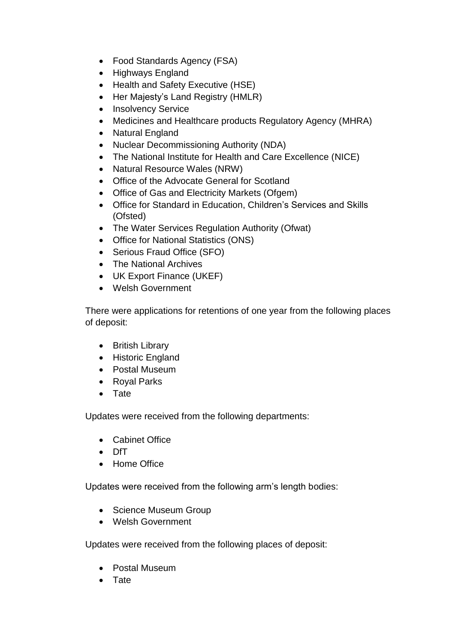- Food Standards Agency (FSA)
- Highways England
- Health and Safety Executive (HSE)
- Her Majesty's Land Registry (HMLR)
- Insolvency Service
- Medicines and Healthcare products Regulatory Agency (MHRA)
- Natural England
- Nuclear Decommissioning Authority (NDA)
- The National Institute for Health and Care Excellence (NICE)
- Natural Resource Wales (NRW)
- Office of the Advocate General for Scotland
- Office of Gas and Electricity Markets (Ofgem)
- Office for Standard in Education, Children's Services and Skills (Ofsted)
- The Water Services Regulation Authority (Ofwat)
- Office for National Statistics (ONS)
- Serious Fraud Office (SFO)
- The National Archives
- UK Export Finance (UKEF)
- Welsh Government

There were applications for retentions of one year from the following places of deposit:

- British Library
- Historic England
- Postal Museum
- Royal Parks
- Tate

Updates were received from the following departments:

- Cabinet Office
- DfT
- Home Office

Updates were received from the following arm's length bodies:

- Science Museum Group
- Welsh Government

Updates were received from the following places of deposit:

- Postal Museum
- Tate